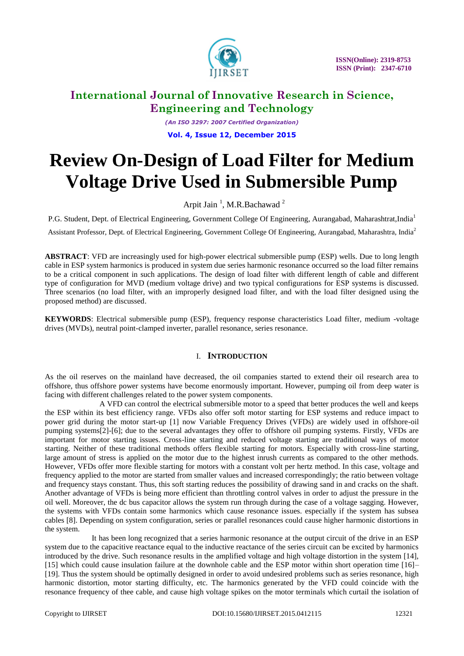

 **ISSN(Online): 2319-8753 ISSN (Print): 2347-6710** 

### **International Journal of Innovative Research in Science, Engineering and Technology**

*(An ISO 3297: 2007 Certified Organization)* **Vol. 4, Issue 12, December 2015**

# **Review On-Design of Load Filter for Medium Voltage Drive Used in Submersible Pump**

Arpit Jain<sup>1</sup>, M.R.Bachawad<sup>2</sup>

P.G. Student, Dept. of Electrical Engineering, Government College Of Engineering, Aurangabad, Maharashtrat,India<sup>1</sup>

Assistant Professor, Dept. of Electrical Engineering, Government College Of Engineering, Aurangabad, Maharashtra, India<sup>2</sup>

**ABSTRACT**: VFD are increasingly used for high-power electrical submersible pump (ESP) wells. Due to long length cable in ESP system harmonics is produced in system due series harmonic resonance occurred so the load filter remains to be a critical component in such applications. The design of load filter with different length of cable and different type of configuration for MVD (medium voltage drive) and two typical configurations for ESP systems is discussed. Three scenarios (no load filter, with an improperly designed load filter, and with the load filter designed using the proposed method) are discussed.

**KEYWORDS**: Electrical submersible pump (ESP), frequency response characteristics Load filter, medium -voltage drives (MVDs), neutral point-clamped inverter, parallel resonance, series resonance.

### I. **INTRODUCTION**

As the oil reserves on the mainland have decreased, the oil companies started to extend their oil research area to offshore, thus offshore power systems have become enormously important. However, pumping oil from deep water is facing with different challenges related to the power system components.

 A VFD can control the electrical submersible motor to a speed that better produces the well and keeps the ESP within its best efficiency range. VFDs also offer soft motor starting for ESP systems and reduce impact to power grid during the motor start-up [1] now Variable Frequency Drives (VFDs) are widely used in offshore-oil pumping systems[2]-[6]; due to the several advantages they offer to offshore oil pumping systems. Firstly, VFDs are important for motor starting issues. Cross-line starting and reduced voltage starting are traditional ways of motor starting. Neither of these traditional methods offers flexible starting for motors. Especially with cross-line starting, large amount of stress is applied on the motor due to the highest inrush currents as compared to the other methods. However, VFDs offer more flexible starting for motors with a constant volt per hertz method. In this case, voltage and frequency applied to the motor are started from smaller values and increased correspondingly; the ratio between voltage and frequency stays constant. Thus, this soft starting reduces the possibility of drawing sand in and cracks on the shaft. Another advantage of VFDs is being more efficient than throttling control valves in order to adjust the pressure in the oil well. Moreover, the dc bus capacitor allows the system run through during the case of a voltage sagging. However, the systems with VFDs contain some harmonics which cause resonance issues. especially if the system has subsea cables [8]. Depending on system configuration, series or parallel resonances could cause higher harmonic distortions in the system.

 It has been long recognized that a series harmonic resonance at the output circuit of the drive in an ESP system due to the capacitive reactance equal to the inductive reactance of the series circuit can be excited by harmonics introduced by the drive. Such resonance results in the amplified voltage and high voltage distortion in the system [14], [15] which could cause insulation failure at the downhole cable and the ESP motor within short operation time [16]– [19]. Thus the system should be optimally designed in order to avoid undesired problems such as series resonance, high harmonic distortion, motor starting difficulty, etc. The harmonics generated by the VFD could coincide with the resonance frequency of thee cable, and cause high voltage spikes on the motor terminals which curtail the isolation of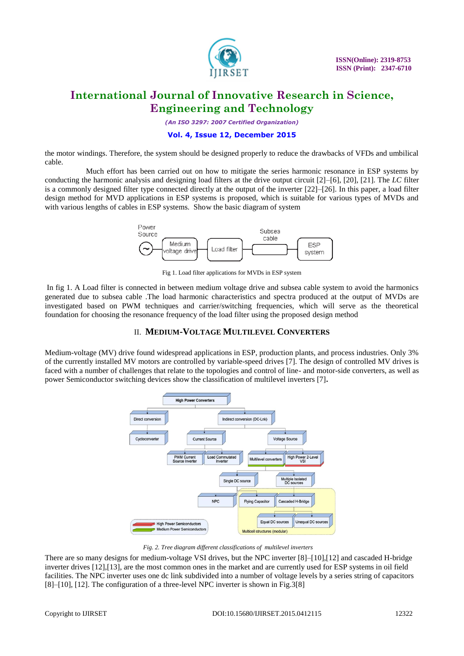

*(An ISO 3297: 2007 Certified Organization)*

#### **Vol. 4, Issue 12, December 2015**

the motor windings. Therefore, the system should be designed properly to reduce the drawbacks of VFDs and umbilical cable.

 Much effort has been carried out on how to mitigate the series harmonic resonance in ESP systems by conducting the harmonic analysis and designing load filters at the drive output circuit [2]–[6], [20], [21]. The *LC* filter is a commonly designed filter type connected directly at the output of the inverter [22]–[26]. In this paper, a load filter design method for MVD applications in ESP systems is proposed, which is suitable for various types of MVDs and with various lengths of cables in ESP systems. Show the basic diagram of system



Fig 1. Load filter applications for MVDs in ESP system

In fig 1. A Load filter is connected in between medium voltage drive and subsea cable system to avoid the harmonics generated due to subsea cable .The load harmonic characteristics and spectra produced at the output of MVDs are investigated based on PWM techniques and carrier/switching frequencies, which will serve as the theoretical foundation for choosing the resonance frequency of the load filter using the proposed design method

### II. **MEDIUM-VOLTAGE MULTILEVEL CONVERTERS**

Medium-voltage (MV) drive found widespread applications in ESP, production plants, and process industries. Only 3% of the currently installed MV motors are controlled by variable-speed drives [7]. The design of controlled MV drives is faced with a number of challenges that relate to the topologies and control of line- and motor-side converters, as well as power Semiconductor switching devices show the classification of multilevel inverters [7]**.**



 *Fig. 2. Tree diagram different classifications of multilevel inverters*

There are so many designs for medium-voltage VSI drives, but the NPC inverter [8]–[10],[12] and cascaded H-bridge inverter drives [12],[13], are the most common ones in the market and are currently used for ESP systems in oil field facilities. The NPC inverter uses one dc link subdivided into a number of voltage levels by a series string of capacitors [8]–[10], [12]. The configuration of a three-level NPC inverter is shown in Fig. 3[8]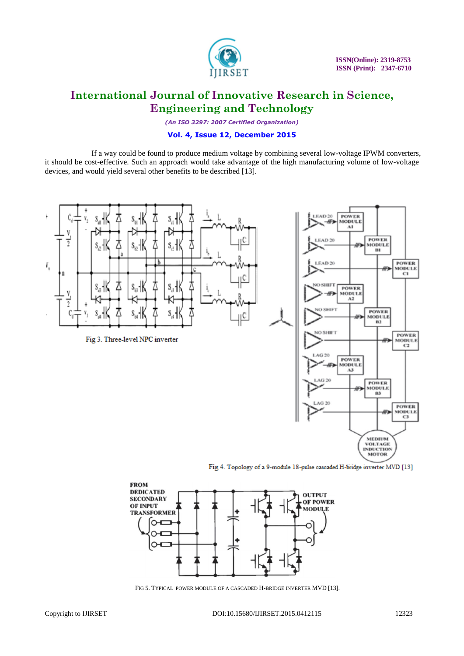

*(An ISO 3297: 2007 Certified Organization)*

### **Vol. 4, Issue 12, December 2015**

 If a way could be found to produce medium voltage by combining several low-voltage IPWM converters, it should be cost-effective. Such an approach would take advantage of the high manufacturing volume of low-voltage devices, and would yield several other benefits to be described [13].



Fig 4. Topology of a 9-module 18-pulse cascaded H-bridge inverter MVD [13]



FIG 5. TYPICAL POWER MODULE OF A CASCADED H-BRIDGE INVERTER MVD [13].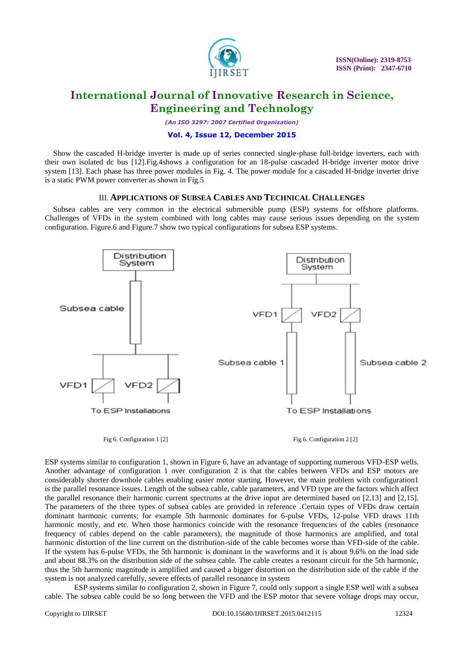

*(An ISO 3297: 2007 Certified Organization)*

#### **Vol. 4, Issue 12, December 2015**

Show the cascaded H-bridge inverter is made up of series connected single-phase full-bridge inverters, each with their own isolated dc bus [12].Fig.4shows a configuration for an 18-pulse cascaded H-bridge inverter motor drive system [13]. Each phase has three power modules in Fig. 4. The power module for a cascaded H-bridge inverter drive is a static PWM power converter as shown in Fig.5

#### III. **APPLICATIONS OF SUBSEA CABLES AND TECHNICAL CHALLENGES**

Subsea cables are very common in the electrical submersible pump (ESP) systems for offshore platforms. Challenges of VFDs in the system combined with long cables may cause serious issues depending on the system configuration. Figure.6 and Figure.7 show two typical configurations for subsea ESP systems.



Fig 6. Configuration 1 [2] Fig 6. Configuration 2 [2]

ESP systems similar to configuration 1, shown in Figure 6, have an advantage of supporting numerous VFD-ESP wells. Another advantage of configuration 1 over configuration 2 is that the cables between VFDs and ESP motors are considerably shorter downhole cables enabling easier motor starting. However, the main problem with configuration1 is the parallel resonance issues. Length of the subsea cable, cable parameters, and VFD type are the factors which affect the parallel resonance their harmonic current spectrums at the drive input are determined based on [2,13] and [2,15]. The parameters of the three types of subsea cables are provided in reference .Certain types of VFDs draw certain dominant harmonic currents; for example 5th harmonic dominates for 6-pulse VFDs, 12-pulse VFD draws 11th harmonic mostly, and etc. When those harmonics coincide with the resonance frequencies of the cables (resonance frequency of cables depend on the cable parameters), the magnitude of those harmonics are amplified, and total harmonic distortion of the line current on the distribution-side of the cable becomes worse than VFD-side of the cable. If the system has 6-pulse VFDs, the 5th harmonic is dominant in the waveforms and it is about 9.6% on the load side and about 88.3% on the distribution side of the subsea cable. The cable creates a resonant circuit for the 5th harmonic, thus the 5th harmonic magnitude is amplified and caused a bigger distortion on the distribution side of the cable if the system is not analyzed carefully, severe effects of parallel resonance in system

 ESP systems similar to configuration 2, shown in Figure 7, could only support a single ESP well with a subsea cable. The subsea cable could be so long between the VFD and the ESP motor that severe voltage drops may occur,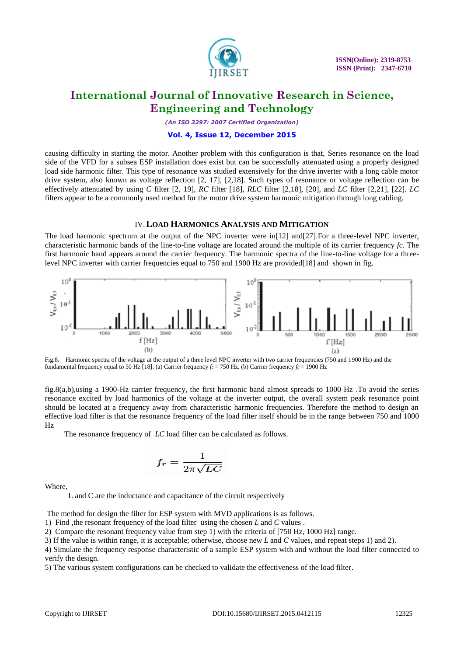

*(An ISO 3297: 2007 Certified Organization)*

#### **Vol. 4, Issue 12, December 2015**

causing difficulty in starting the motor. Another problem with this configuration is that, Series resonance on the load side of the VFD for a subsea ESP installation does exist but can be successfully attenuated using a properly designed load side harmonic filter. This type of resonance was studied extensively for the drive inverter with a long cable motor drive system, also known as voltage reflection [2, 17], [2,18]. Such types of resonance or voltage reflection can be effectively attenuated by using *C* filter [2, 19], *RC* filter [18], *RLC* filter [2,18], [20], and *LC* filter [2,21], [22]. *LC*  filters appear to be a commonly used method for the motor drive system harmonic mitigation through long cabling.

#### IV.**LOAD HARMONICS ANALYSIS AND MITIGATION**

The load harmonic spectrum at the output of the NPC inverter were in<sup>[12]</sup> and<sup>[27]</sup>. For a three-level NPC inverter, characteristic harmonic bands of the line-to-line voltage are located around the multiple of its carrier frequency *fc*. The first harmonic band appears around the carrier frequency. The harmonic spectra of the line-to-line voltage for a threelevel NPC inverter with carrier frequencies equal to 750 and 1900 Hz are provided[18] and shown in fig.



Fig.8. Harmonic spectra of the voltage at the output of a three level NPC inverter with two carrier frequencies (750 and 1900 Hz) and the fundamental frequency equal to 50 Hz [18]. (a) Carrier frequency *fc* = 750 Hz. (b) Carrier frequency *fc* = 1900 Hz

fig.8(a,b),using a 1900-Hz carrier frequency, the first harmonic band almost spreads to 1000 Hz .To avoid the series resonance excited by load harmonics of the voltage at the inverter output, the overall system peak resonance point should be located at a frequency away from characteristic harmonic frequencies. Therefore the method to design an effective load filter is that the resonance frequency of the load filter itself should be in the range between 750 and 1000 Hz

The resonance frequency of *LC* load filter can be calculated as follows.

$$
f_r = \frac{1}{2\pi\sqrt{LC}}
$$

Where,

L and C are the inductance and capacitance of the circuit respectively

The method for design the filter for ESP system with MVD applications is as follows.

1) Find ,the resonant frequency of the load filter using the chosen *L* and *C* values .

2) Compare the resonant frequency value from step 1) with the criteria of [750 Hz, 1000 Hz] range.

3) If the value is within range, it is acceptable; otherwise, choose new *L* and *C* values, and repeat steps 1) and 2).

4) Simulate the frequency response characteristic of a sample ESP system with and without the load filter connected to verify the design.

5) The various system configurations can be checked to validate the effectiveness of the load filter.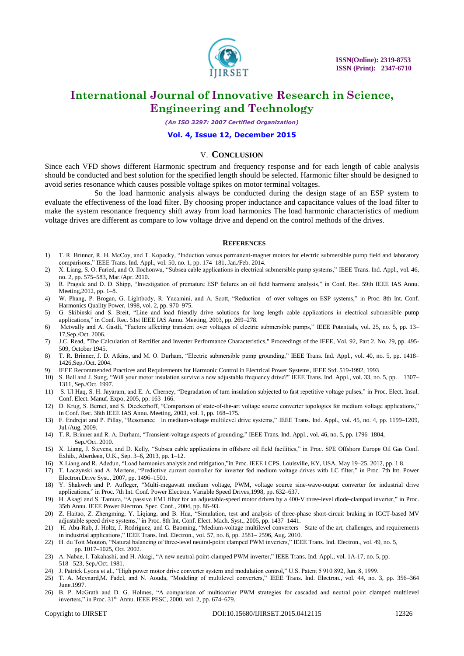

*(An ISO 3297: 2007 Certified Organization)*

#### **Vol. 4, Issue 12, December 2015**

#### V. **CONCLUSION**

Since each VFD shows different Harmonic spectrum and frequency response and for each length of cable analysis should be conducted and best solution for the specified length should be selected. Harmonic filter should be designed to avoid series resonance which causes possible voltage spikes on motor terminal voltages.

 So the load harmonic analysis always be conducted during the design stage of an ESP system to evaluate the effectiveness of the load filter. By choosing proper inductance and capacitance values of the load filter to make the system resonance frequency shift away from load harmonics The load harmonic characteristics of medium voltage drives are different as compare to low voltage drive and depend on the control methods of the drives.

#### **REFERENCES**

- 1) T. R. Brinner, R. H. McCoy, and T. Kopecky, "Induction versus permanent-magnet motors for electric submersible pump field and laboratory comparisons," IEEE Trans. Ind. Appl., vol. 50, no. 1, pp. 174–181, Jan./Feb. 2014.
- 2) X. Liang, S. O. Faried, and O. Ilochonwu, "Subsea cable applications in electrical submersible pump systems," IEEE Trans. Ind. Appl., vol. 46, no. 2, pp. 575–583, Mar./Apr. 2010.
- 3) R. Pragale and D. D. Shipp, "Investigation of premature ESP failures an oil field harmonic analysis," in Conf. Rec. 59th IEEE IAS Annu. Meeting,2012, pp. 1–8.
- 4) W. Phang, P. Brogan, G. Lightbody, R. Yacamini, and A. Scott, "Reduction of over voltages on ESP systems," in Proc. 8th Int. Conf. Harmonics Quality Power, 1998, vol. 2, pp. 970–975.
- 5) G. Skibinski and S. Breit, "Line and load friendly drive solutions for long length cable applications in electrical submersible pump applications," in Conf. Rec. 51st IEEE IAS Annu. Meeting, 2003, pp. 269-278.
- 6) Metwally and A. Gastli, "Factors affecting transient over voltages of electric submersible pumps," IEEE Potentials, vol. 25, no. 5, pp. 13– 17,Sep./Oct. 2006.
- 7) J.C. Read, "The Calculation of Rectifier and Inverter Performance Characteristics," Proceedings of the IEEE, Vol. 92, Part 2, No. 29, pp. 495- 509, October 1945.
- 8) T. R. Brinner, J. D. Atkins, and M. O. Durham, "Electric submersible pump grounding," IEEE Trans. Ind. Appl., vol. 40, no. 5, pp. 1418– 1426,Sep./Oct. 2004.
- 9) IEEE Recommended Practices and Requirements for Harmonic Control in Electrical Power Systems, IEEE Std. 519-1992, 1993
- 10) S. Bell and J. Sung, "Will your motor insulation survive a new adjustable frequency drive?" IEEE Trans. Ind. Appl., vol. 33, no. 5, pp. 1307– 1311, Sep./Oct. 1997.
- 11) S. Ul Haq, S. H. Jayaram, and E. A. Cherney, "Degradation of turn insulation subjected to fast repetitive voltage pulses," in Proc. Elect. Insul. Conf. Elect. Manuf. Expo, 2005, pp. 163–166.
- 12) D. Krug, S. Bernet, and S. Dieckerhoff, "Comparison of state-of-the-art voltage source converter topologies for medium voltage applications," in Conf. Rec. 38th IEEE IAS Annu. Meeting, 2003, vol. 1, pp. 168–175.
- 13) F. Endrejat and P. Pillay, "Resonance in medium-voltage multilevel drive systems," IEEE Trans. Ind. Appl., vol. 45, no. 4, pp. 1199–1209, Jul./Aug. 2009.
- 14) T. R. Brinner and R. A. Durham, "Transient-voltage aspects of grounding," IEEE Trans. Ind. Appl., vol. 46, no. 5, pp. 1796–1804, Sep./Oct. 2010.
- 15) X. Liang, J. Stevens, and D. Kelly, "Subsea cable applications in offshore oil field facilities," in Proc. SPE Offshore Europe Oil Gas Conf. Exhib., Aberdeen, U.K., Sep. 3–6, 2013, pp. 1–12.
- 16) X.Liang and R. Adedun, "Load harmonics analysis and mitigation,"in Proc. IEEE I CPS, Louisville, KY, USA, May 19-25, 2012, pp. 1 8.
- 17) T. Laczynski and A. Mertens, "Predictive current controller for inverter fed medium voltage drives with LC filter," in Proc. 7th Int. Power Electron.Drive Syst., 2007, pp. 1496–1501.
- 18) Y. Shakweh and P. Aufleger, "Multi-megawatt medium voltage, PWM, voltage source sine-wave-output converter for industrial drive applications," in Proc. 7th Int. Conf. Power Electron. Variable Speed Drives, 1998, pp. 632–637.
- 19) H. Akagi and S. Tamura, "A passive EM1 filter for an adjustable-speed motor driven by a 400-V three-level diode-clamped inverter," in Proc. 35th Annu. IEEE Power Electron. Spec. Conf., 2004, pp. 86–93.
- 20) Z. Haitao, Z. Zhengming, Y. Liqiang, and B. Hua, "Simulation, test and analysis of three-phase short-circuit braking in IGCT-based MV adjustable speed drive systems," in Proc. 8th Int. Conf. Elect. Mach. Syst., 2005, pp. 1437-1441.
- 21) H. Abu-Rub, J. Holtz, J. Rodriguez, and G. Baoming, "Medium-voltage multilevel converters—State of the art, challenges, and requirements in industrial applications," IEEE Trans. Ind. Electron., vol. 57, no. 8, pp. 2581-2596, Aug. 2010.
- 22) H. du Toit Mouton, "Natural balancing of three-level neutral-point clamped PWM inverters," IEEE Trans. Ind. Electron., vol. 49, no. 5,
- pp. 1017–1025, Oct. 2002. 23) A. Nabae, I. Takahashi, and H. Akagi, "A new neutral-point-clamped PWM inverter," IEEE Trans. Ind. Appl., vol. 1A-17, no. 5, pp. 518– 523, Sep./Oct. 1981.
- 24) J. Patrick Lyons et al., "High power motor drive converter system and modulation control," U.S. Patent 5 910 892, Jun. 8, 1999.
- 25) T. A. Meynard,M. Fadel, and N. Aouda, "Modeling of multilevel converters," IEEE Trans. Ind. Electron., vol. 44, no. 3, pp. 356–364 June.1997.
- 26) B. P. McGrath and D. G. Holmes, "A comparison of multicarrier PWM strategies for cascaded and neutral point clamped multilevel inverters," in Proc. 31<sup>st</sup> Annu. IEEE PESC, 2000, vol. 2, pp. 674–679.